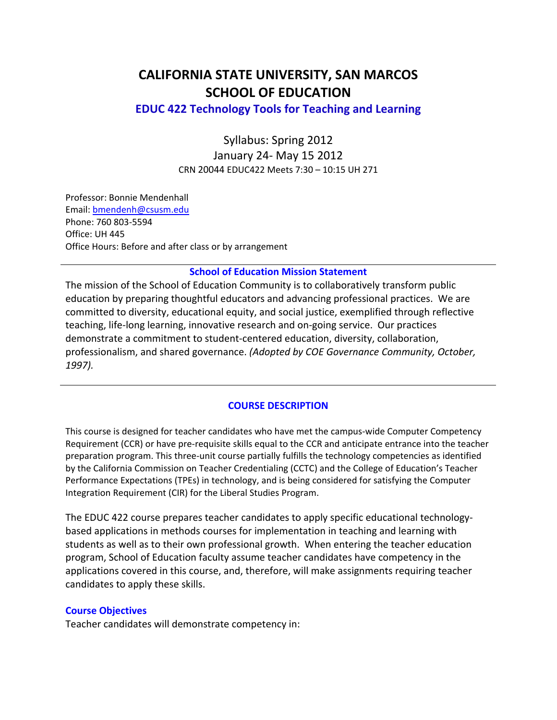# **CALIFORNIA STATE UNIVERSITY, SAN MARCOS SCHOOL OF EDUCATION**

 **EDUC 422 Technology Tools for Teaching and Learning**

 Syllabus: Spring 2012 January 24‐ May 15 2012 CRN 20044 EDUC422 Meets 7:30 – 10:15 UH 271

 Professor: Bonnie Mendenhall Phone: 760 803‐5594 Office: UH 445 Office Hours: Before and after class or by arrangement Email: bmendenh@csusm.edu

## **School of Education Mission Statement**

 The mission of the School of Education Community is to collaboratively transform public education by preparing thoughtful educators and advancing professional practices. We are committed to diversity, educational equity, and social justice, exemplified through reflective teaching, life‐long learning, innovative research and on‐going service. Our practices demonstrate a commitment to student‐centered education, diversity, collaboration,  professionalism, and shared governance. *(Adopted by COE Governance Community, October, 1997).*

#### **COURSE DESCRIPTION**

 This course is designed for teacher candidates who have met the campus‐wide Computer Competency Requirement (CCR) or have pre‐requisite skills equal to the CCR and anticipate entrance into the teacher preparation program. This three‐unit course partially fulfills the technology competencies as identified by the California Commission on Teacher Credentialing (CCTC) and the College of Education's Teacher Performance Expectations (TPEs) in technology, and is being considered for satisfying the Computer Integration Requirement (CIR) for the Liberal Studies Program.

 The EDUC 422 course prepares teacher candidates to apply specific educational technology‐ based applications in methods courses for implementation in teaching and learning with students as well as to their own professional growth. When entering the teacher education program, School of Education faculty assume teacher candidates have competency in the applications covered in this course, and, therefore, will make assignments requiring teacher candidates to apply these skills.

#### **Course Objectives**

Teacher candidates will demonstrate competency in: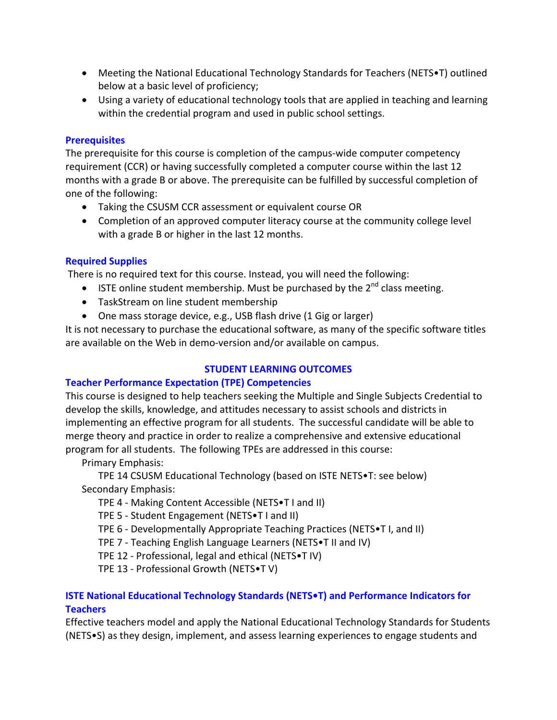- Meeting the National Educational Technology Standards for Teachers (NETS•T) outlined below at a basic level of proficiency;
- Using a variety of educational technology tools that are applied in teaching and learning within the credential program and used in public school settings.

#### **Prerequisites**

 The prerequisite for this course is completion of the campus‐wide computer competency requirement (CCR) or having successfully completed a computer course within the last 12 months with a grade B or above. The prerequisite can be fulfilled by successful completion of one of the following:

- Taking the CSUSM CCR assessment or equivalent course OR
- Completion of an approved computer literacy course at the community college level with a grade B or higher in the last 12 months.

# **Required Supplies**

There is no required text for this course. Instead, you will need the following:

- **ISTE online student membership. Must be purchased by the 2<sup>nd</sup> class meeting.**
- TaskStream on line student membership
- One mass storage device, e.g., USB flash drive (1 Gig or larger)

 It is not necessary to purchase the educational software, as many of the specific software titles are available on the Web in demo‐version and/or available on campus.

## **STUDENT LEARNING OUTCOMES**

# **Teacher Performance Expectation (TPE) Competencies**

 This course is designed to help teachers seeking the Multiple and Single Subjects Credential to develop the skills, knowledge, and attitudes necessary to assist schools and districts in implementing an effective program for all students. The successful candidate will be able to merge theory and practice in order to realize a comprehensive and extensive educational program for all students. The following TPEs are addressed in this course:

Primary Emphasis:

 TPE 14 CSUSM Educational Technology (based on ISTE NETS•T: see below) Secondary Emphasis:

- TPE 4 ‐ Making Content Accessible (NETS•T I and II)
- TPE 5 ‐ Student Engagement (NETS•T I and II)
- TPE 6 ‐ Developmentally Appropriate Teaching Practices (NETS•T I, and II)
- TPE 7 ‐ Teaching English Language Learners (NETS•T II and IV)
- TPE 12 ‐ Professional, legal and ethical (NETS•T IV)
- TPE 13 ‐ Professional Growth (NETS•T V)

#### **ISTE National Educational Technology Standards (NETS•T) and Performance Indicators for Teachers**

 Effective teachers model and apply the National Educational Technology Standards for Students (NETS•S) as they design, implement, and assess learning experiences to engage students and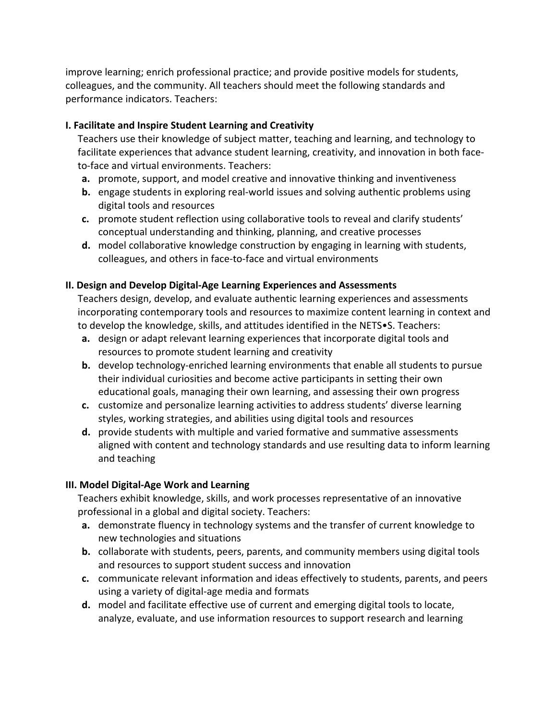improve learning; enrich professional practice; and provide positive models for students, colleagues, and the community. All teachers should meet the following standards and performance indicators. Teachers:

## **I. Facilitate and Inspire Student Learning and Creativity**

 Teachers use their knowledge of subject matter, teaching and learning, and technology to facilitate experiences that advance student learning, creativity, and innovation in both face‐ to‐face and virtual environments. Teachers:

- a. promote, support, and model creative and innovative thinking and inventiveness
- **b.** engage students in exploring real-world issues and solving authentic problems using digital tools and resources
- **c.** promote student reflection using collaborative tools to reveal and clarify students' conceptual understanding and thinking, planning, and creative processes
- **d.** model collaborative knowledge construction by engaging in learning with students, colleagues, and others in face‐to‐face and virtual environments

# **II. Design and Develop Digital‐Age Learning Experiences and Assessments**

 Teachers design, develop, and evaluate authentic learning experiences and assessments incorporating contemporary tools and resources to maximize content learning in context and to develop the knowledge, skills, and attitudes identified in the NETS•S. Teachers:

- a. design or adapt relevant learning experiences that incorporate digital tools and resources to promote student learning and creativity
- **b.** develop technology-enriched learning environments that enable all students to pursue their individual curiosities and become active participants in setting their own educational goals, managing their own learning, and assessing their own progress
- **c.** customize and personalize learning activities to address students' diverse learning styles, working strategies, and abilities using digital tools and resources
- **d.** provide students with multiple and varied formative and summative assessments aligned with content and technology standards and use resulting data to inform learning and teaching

# **III. Model Digital‐Age Work and Learning**

 Teachers exhibit knowledge, skills, and work processes representative of an innovative professional in a global and digital society. Teachers:

- a. demonstrate fluency in technology systems and the transfer of current knowledge to new technologies and situations
- **b.** collaborate with students, peers, parents, and community members using digital tools and resources to support student success and innovation
- **c.** communicate relevant information and ideas effectively to students, parents, and peers using a variety of digital‐age media and formats
- **d.** model and facilitate effective use of current and emerging digital tools to locate, analyze, evaluate, and use information resources to support research and learning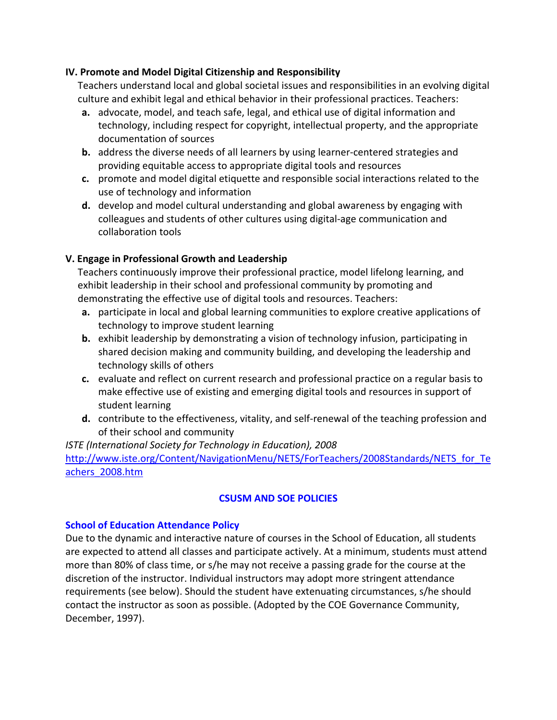## **IV. Promote and Model Digital Citizenship and Responsibility**

 Teachers understand local and global societal issues and responsibilities in an evolving digital culture and exhibit legal and ethical behavior in their professional practices. Teachers:

- a. advocate, model, and teach safe, legal, and ethical use of digital information and technology, including respect for copyright, intellectual property, and the appropriate documentation of sources
- **b.** address the diverse needs of all learners by using learner-centered strategies and providing equitable access to appropriate digital tools and resources
- **c.** promote and model digital etiquette and responsible social interactions related to the use of technology and information
- **d.** develop and model cultural understanding and global awareness by engaging with colleagues and students of other cultures using digital‐age communication and collaboration tools

# **V. Engage in Professional Growth and Leadership**

 Teachers continuously improve their professional practice, model lifelong learning, and exhibit leadership in their school and professional community by promoting and demonstrating the effective use of digital tools and resources. Teachers:

- a. participate in local and global learning communities to explore creative applications of technology to improve student learning
- **b.** exhibit leadership by demonstrating a vision of technology infusion, participating in shared decision making and community building, and developing the leadership and technology skills of others
- **c.** evaluate and reflect on current research and professional practice on a regular basis to make effective use of existing and emerging digital tools and resources in support of student learning
- **d.** contribute to the effectiveness, vitality, and self‐renewal of the teaching profession and of their school and community

# *ISTE (International Society for Technology in Education), 2008* http://www.iste.org/Content/NavigationMenu/NETS/ForTeachers/2008Standards/NETS\_for\_Te achers\_2008.htm

## **CSUSM AND SOE POLICIES**

## **School of Education Attendance Policy**

 Due to the dynamic and interactive nature of courses in the School of Education, all students are expected to attend all classes and participate actively. At a minimum, students must attend more than 80% of class time, or s/he may not receive a passing grade for the course at the discretion of the instructor. Individual instructors may adopt more stringent attendance requirements (see below). Should the student have extenuating circumstances, s/he should contact the instructor as soon as possible. (Adopted by the COE Governance Community, December, 1997).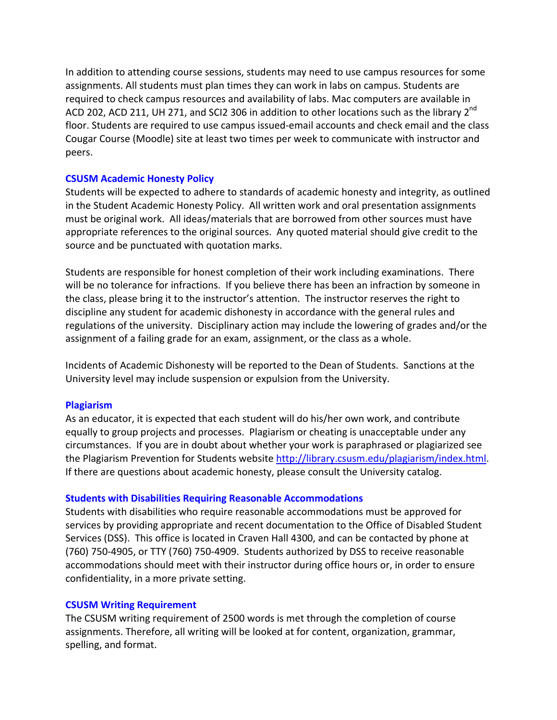In addition to attending course sessions, students may need to use campus resources for some assignments. All students must plan times they can work in labs on campus. Students are required to check campus resources and availability of labs. Mac computers are available in ACD 202, ACD 211, UH 271, and SCI2 306 in addition to other locations such as the library 2<sup>nd</sup> floor. Students are required to use campus issued‐email accounts and check email and the class Cougar Course (Moodle) site at least two times per week to communicate with instructor and peers.

#### **CSUSM Academic Honesty Policy**

 Students will be expected to adhere to standards of academic honesty and integrity, as outlined in the Student Academic Honesty Policy. All written work and oral presentation assignments must be original work. All ideas/materials that are borrowed from other sources must have appropriate references to the original sources. Any quoted material should give credit to the source and be punctuated with quotation marks.

 Students are responsible for honest completion of their work including examinations. There will be no tolerance for infractions. If you believe there has been an infraction by someone in the class, please bring it to the instructor's attention. The instructor reserves the right to discipline any student for academic dishonesty in accordance with the general rules and regulations of the university. Disciplinary action may include the lowering of grades and/or the assignment of a failing grade for an exam, assignment, or the class as a whole.

 Incidents of Academic Dishonesty will be reported to the Dean of Students. Sanctions at the University level may include suspension or expulsion from the University.

#### **Plagiarism**

 As an educator, it is expected that each student will do his/her own work, and contribute equally to group projects and processes. Plagiarism or cheating is unacceptable under any circumstances. If you are in doubt about whether your work is paraphrased or plagiarized see the Plagiarism Prevention for Students website <u>http://library.csusm.edu/plagiarism/index.html</u>. If there are questions about academic honesty, please consult the University catalog.

## **Students with Disabilities Requiring Reasonable Accommodations**

 Students with disabilities who require reasonable accommodations must be approved for services by providing appropriate and recent documentation to the Office of Disabled Student Services (DSS). This office is located in Craven Hall 4300, and can be contacted by phone at (760) 750‐4905, or TTY (760) 750‐4909. Students authorized by DSS to receive reasonable accommodations should meet with their instructor during office hours or, in order to ensure confidentiality, in a more private setting.

## **CSUSM Writing Requirement**

 The CSUSM writing requirement of 2500 words is met through the completion of course assignments. Therefore, all writing will be looked at for content, organization, grammar, spelling, and format.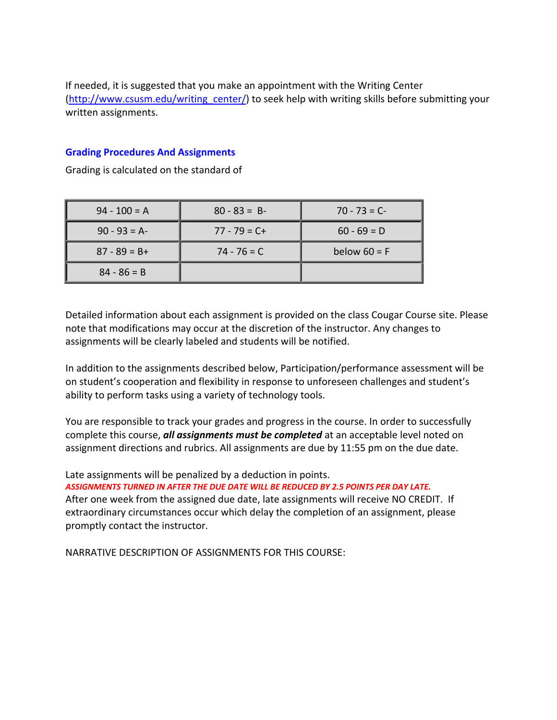If needed, it is suggested that you make an appointment with the Writing Center (http://www.csusm.edu/writing\_center/) to seek help with writing skills before submitting your written assignments.

#### **Grading Procedures And Assignments**

Grading is calculated on the standard of

| $94 - 100 = A$  | $80 - 83 = B$   | $70 - 73 = C$  |  |
|-----------------|-----------------|----------------|--|
| $90 - 93 = A$   | $77 - 79 = C +$ | $60 - 69 = D$  |  |
| $87 - 89 = B +$ | $74 - 76 = C$   | below $60 = F$ |  |
| $84 - 86 = B$   |                 |                |  |

 Detailed information about each assignment is provided on the class Cougar Course site. Please note that modifications may occur at the discretion of the instructor. Any changes to assignments will be clearly labeled and students will be notified.

 In addition to the assignments described below, Participation/performance assessment will be on student's cooperation and flexibility in response to unforeseen challenges and student's ability to perform tasks using a variety of technology tools.

 You are responsible to track your grades and progress in the course. In order to successfully  complete this course, *all assignments must be completed* at an acceptable level noted on assignment directions and rubrics. All assignments are due by 11:55 pm on the due date.

Late assignments will be penalized by a deduction in points.

ASSIGNMENTS TURNED IN AFTER THE DUE DATE WILL BE REDUCED BY 2.5 POINTS PER DAY LATE.

 After one week from the assigned due date, late assignments will receive NO CREDIT. If extraordinary circumstances occur which delay the completion of an assignment, please promptly contact the instructor.

NARRATIVE DESCRIPTION OF ASSIGNMENTS FOR THIS COURSE: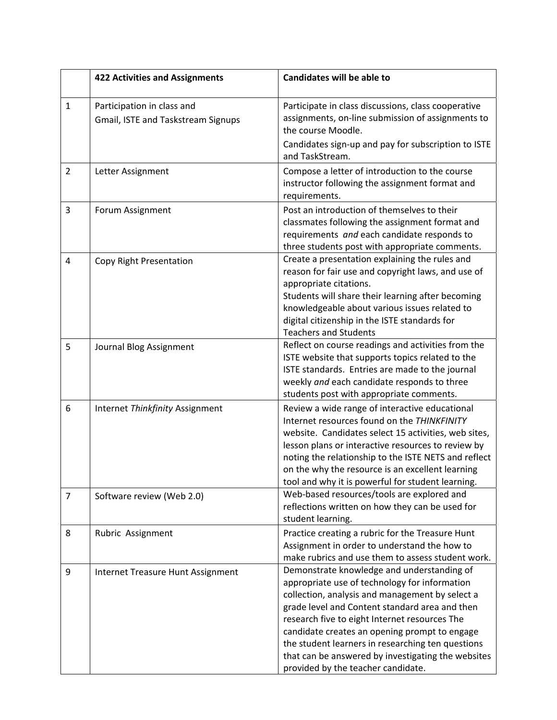|                | <b>422 Activities and Assignments</b>                            | <b>Candidates will be able to</b>                                                                                                                                                                                                                                                                                                                                                                                                                   |  |  |
|----------------|------------------------------------------------------------------|-----------------------------------------------------------------------------------------------------------------------------------------------------------------------------------------------------------------------------------------------------------------------------------------------------------------------------------------------------------------------------------------------------------------------------------------------------|--|--|
| $\mathbf{1}$   | Participation in class and<br>Gmail, ISTE and Taskstream Signups | Participate in class discussions, class cooperative<br>assignments, on-line submission of assignments to<br>the course Moodle.                                                                                                                                                                                                                                                                                                                      |  |  |
|                |                                                                  | Candidates sign-up and pay for subscription to ISTE<br>and TaskStream.                                                                                                                                                                                                                                                                                                                                                                              |  |  |
| $\overline{2}$ | Letter Assignment                                                | Compose a letter of introduction to the course<br>instructor following the assignment format and<br>requirements.                                                                                                                                                                                                                                                                                                                                   |  |  |
| 3              | Forum Assignment                                                 | Post an introduction of themselves to their<br>classmates following the assignment format and<br>requirements and each candidate responds to<br>three students post with appropriate comments.                                                                                                                                                                                                                                                      |  |  |
| 4              | Copy Right Presentation                                          | Create a presentation explaining the rules and<br>reason for fair use and copyright laws, and use of<br>appropriate citations.<br>Students will share their learning after becoming<br>knowledgeable about various issues related to<br>digital citizenship in the ISTE standards for<br><b>Teachers and Students</b>                                                                                                                               |  |  |
| 5              | Journal Blog Assignment                                          | Reflect on course readings and activities from the<br>ISTE website that supports topics related to the<br>ISTE standards. Entries are made to the journal<br>weekly and each candidate responds to three<br>students post with appropriate comments.                                                                                                                                                                                                |  |  |
| 6              | Internet Thinkfinity Assignment                                  | Review a wide range of interactive educational<br>Internet resources found on the THINKFINITY<br>website. Candidates select 15 activities, web sites,<br>lesson plans or interactive resources to review by<br>noting the relationship to the ISTE NETS and reflect<br>on the why the resource is an excellent learning<br>tool and why it is powerful for student learning.                                                                        |  |  |
| 7              | Software review (Web 2.0)                                        | Web-based resources/tools are explored and<br>reflections written on how they can be used for<br>student learning.                                                                                                                                                                                                                                                                                                                                  |  |  |
| 8              | Rubric Assignment                                                | Practice creating a rubric for the Treasure Hunt<br>Assignment in order to understand the how to<br>make rubrics and use them to assess student work.                                                                                                                                                                                                                                                                                               |  |  |
| 9              | Internet Treasure Hunt Assignment                                | Demonstrate knowledge and understanding of<br>appropriate use of technology for information<br>collection, analysis and management by select a<br>grade level and Content standard area and then<br>research five to eight Internet resources The<br>candidate creates an opening prompt to engage<br>the student learners in researching ten questions<br>that can be answered by investigating the websites<br>provided by the teacher candidate. |  |  |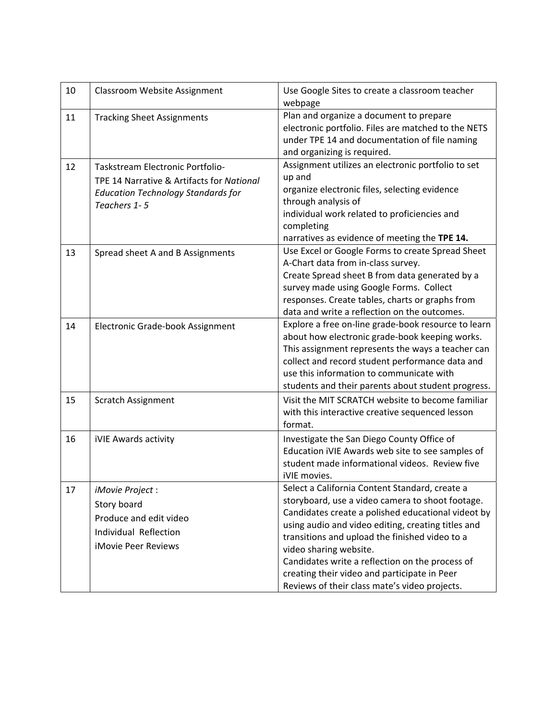| 10 | Classroom Website Assignment                                                                                                               | Use Google Sites to create a classroom teacher<br>webpage                                                                                                                                                                                                                                                                                                                                                                                      |  |
|----|--------------------------------------------------------------------------------------------------------------------------------------------|------------------------------------------------------------------------------------------------------------------------------------------------------------------------------------------------------------------------------------------------------------------------------------------------------------------------------------------------------------------------------------------------------------------------------------------------|--|
| 11 | <b>Tracking Sheet Assignments</b>                                                                                                          | Plan and organize a document to prepare<br>electronic portfolio. Files are matched to the NETS<br>under TPE 14 and documentation of file naming<br>and organizing is required.                                                                                                                                                                                                                                                                 |  |
| 12 | Taskstream Electronic Portfolio-<br>TPE 14 Narrative & Artifacts for National<br><b>Education Technology Standards for</b><br>Teachers 1-5 | Assignment utilizes an electronic portfolio to set<br>up and<br>organize electronic files, selecting evidence<br>through analysis of<br>individual work related to proficiencies and<br>completing<br>narratives as evidence of meeting the TPE 14.                                                                                                                                                                                            |  |
| 13 | Spread sheet A and B Assignments                                                                                                           | Use Excel or Google Forms to create Spread Sheet<br>A-Chart data from in-class survey.<br>Create Spread sheet B from data generated by a<br>survey made using Google Forms. Collect<br>responses. Create tables, charts or graphs from<br>data and write a reflection on the outcomes.                                                                                                                                                         |  |
| 14 | Electronic Grade-book Assignment                                                                                                           | Explore a free on-line grade-book resource to learn<br>about how electronic grade-book keeping works.<br>This assignment represents the ways a teacher can<br>collect and record student performance data and<br>use this information to communicate with<br>students and their parents about student progress.                                                                                                                                |  |
| 15 | <b>Scratch Assignment</b>                                                                                                                  | Visit the MIT SCRATCH website to become familiar<br>with this interactive creative sequenced lesson<br>format.                                                                                                                                                                                                                                                                                                                                 |  |
| 16 | iVIE Awards activity                                                                                                                       | Investigate the San Diego County Office of<br>Education iVIE Awards web site to see samples of<br>student made informational videos. Review five<br>iVIE movies.                                                                                                                                                                                                                                                                               |  |
| 17 | iMovie Project:<br>Story board<br>Produce and edit video<br>Individual Reflection<br><b>iMovie Peer Reviews</b>                            | Select a California Content Standard, create a<br>storyboard, use a video camera to shoot footage.<br>Candidates create a polished educational videot by<br>using audio and video editing, creating titles and<br>transitions and upload the finished video to a<br>video sharing website.<br>Candidates write a reflection on the process of<br>creating their video and participate in Peer<br>Reviews of their class mate's video projects. |  |